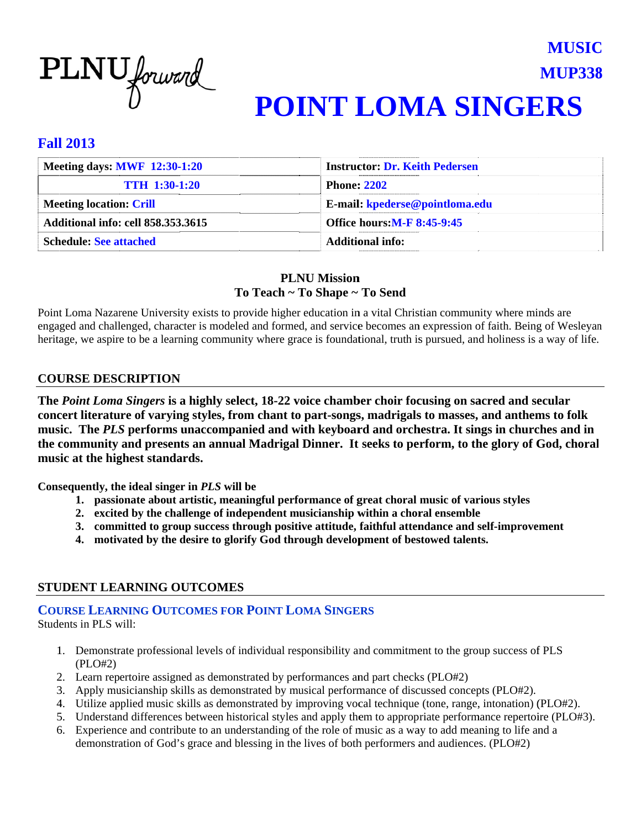

## **POINT LOMA SINGERS MUP338 8**

**MUSIC C**

#### **Fall l 2013**

| <b>Meeting days: MWF 12:30-1:20</b>       | <b>Instructor: Dr. Keith Pedersen</b> |  |
|-------------------------------------------|---------------------------------------|--|
| <b>TTH 1:30-1:20</b>                      | <b>Phone: 2202</b>                    |  |
| <b>Meeting location: Crill</b>            | E-mail: kpederse@pointloma.edu        |  |
| <b>Additional info: cell 858.353.3615</b> | <b>Office hours: M-F 8:45-9:45</b>    |  |
| <b>Schedule: See attached</b>             | <b>Additional info:</b>               |  |

#### **T To Teach ~ T To Shape ~ To Send PLNU** Mission

Point Loma Nazarene University exists to provide higher education in a vital Christian community where minds are engaged and challenged, character is modeled and formed, and service becomes an expression of faith. Being of Wesleyan heritage, we aspire to be a learning community where grace is foundational, truth is pursued, and holiness is a way of life.

#### **COU URSE DESC CRIPTION**

**The** *Point Loma Singers* **is a highly select, 18-22 voice chamber choir focusing on sacred and secular <br>The** *Point Loma Singers* **is a highly select, 18-22 voice chamber choir focusing on sacred and secular** concert literature of varying styles, from chant to part-songs, madrigals to masses, and anthems to folk **music.** The PLS performs unaccompanied and with keyboard and orchestra. It sings in churches and in the community and presents an annual Madrigal Dinner. It seeks to perform, to the glory of God, choral music at the highest standards.

**Consequently, the ideal singer in** *PLS* **will be** 

- 1. passionate about artistic, meaningful performance of great choral music of various styles
- 2. excited by the challenge of independent musicianship within a choral ensemble
- 3. committed to group success through positive attitude, faithful attendance and self-improvement
- **4.** motivated by the desire to glorify God through development of bestowed talents.

#### **STU UDENT LEA ARNING O OUTCOMES**

# **COURSE LEARNING OUTCOMES<br>
COURSE LEARNING OUTCOMES FOR POINT LOMA SINGERS**

Students in PLS will:

- 1. Demonstrate professional levels of individual responsibility and commitment to the group success of PLS (PLO#2)
- 2. Learn repertoire assigned as demonstrated by performances and part checks (PLO#2)
- 3. Apply musicianship skills as demonstrated by musical performance of discussed concepts (PLO#2).
- 4. Utilize applied music skills as demonstrated by improving vocal technique (tone, range, intonation) (PLO#2).
- 5. Understand differences between historical styles and apply them to appropriate performance repertoire (PLO#3).
- 6. Experience and contribute to an understanding of the role of music as a way to add meaning to life and a demonstration of God's grace and blessing in the lives of both performers and audiences. (PLO#2)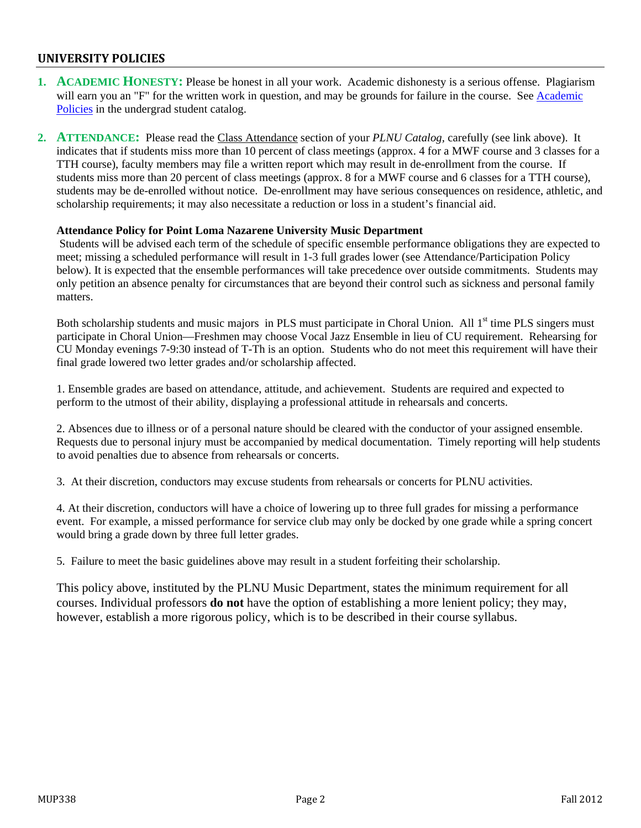#### **UNIVERSITY POLICIES**

- **1. ACADEMIC HONESTY:** Please be honest in all your work. Academic dishonesty is a serious offense. Plagiarism will earn you an "F" for the written work in question, and may be grounds for failure in the course. See Academic Policies in the undergrad student catalog.
- **2. ATTENDANCE:** Please read the Class Attendance section of your *PLNU Catalog,* carefully (see link above). It indicates that if students miss more than 10 percent of class meetings (approx. 4 for a MWF course and 3 classes for a TTH course), faculty members may file a written report which may result in de-enrollment from the course. If students miss more than 20 percent of class meetings (approx. 8 for a MWF course and 6 classes for a TTH course), students may be de-enrolled without notice. De-enrollment may have serious consequences on residence, athletic, and scholarship requirements; it may also necessitate a reduction or loss in a student's financial aid.

#### **Attendance Policy for Point Loma Nazarene University Music Department**

 Students will be advised each term of the schedule of specific ensemble performance obligations they are expected to meet; missing a scheduled performance will result in 1-3 full grades lower (see Attendance/Participation Policy below). It is expected that the ensemble performances will take precedence over outside commitments. Students may only petition an absence penalty for circumstances that are beyond their control such as sickness and personal family matters.

Both scholarship students and music majors in PLS must participate in Choral Union. All 1<sup>st</sup> time PLS singers must participate in Choral Union—Freshmen may choose Vocal Jazz Ensemble in lieu of CU requirement. Rehearsing for CU Monday evenings 7-9:30 instead of T-Th is an option. Students who do not meet this requirement will have their final grade lowered two letter grades and/or scholarship affected.

1. Ensemble grades are based on attendance, attitude, and achievement. Students are required and expected to perform to the utmost of their ability, displaying a professional attitude in rehearsals and concerts.

2. Absences due to illness or of a personal nature should be cleared with the conductor of your assigned ensemble. Requests due to personal injury must be accompanied by medical documentation. Timely reporting will help students to avoid penalties due to absence from rehearsals or concerts.

3. At their discretion, conductors may excuse students from rehearsals or concerts for PLNU activities.

4. At their discretion, conductors will have a choice of lowering up to three full grades for missing a performance event. For example, a missed performance for service club may only be docked by one grade while a spring concert would bring a grade down by three full letter grades.

5. Failure to meet the basic guidelines above may result in a student forfeiting their scholarship.

This policy above, instituted by the PLNU Music Department, states the minimum requirement for all courses. Individual professors **do not** have the option of establishing a more lenient policy; they may, however, establish a more rigorous policy, which is to be described in their course syllabus.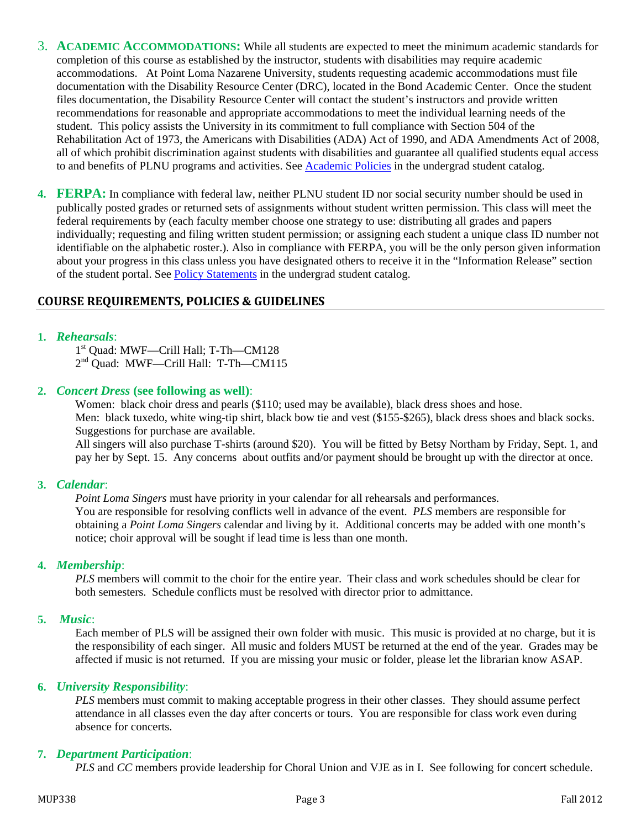- 3. **ACADEMIC ACCOMMODATIONS:** While all students are expected to meet the minimum academic standards for completion of this course as established by the instructor, students with disabilities may require academic accommodations. At Point Loma Nazarene University, students requesting academic accommodations must file documentation with the Disability Resource Center (DRC), located in the Bond Academic Center. Once the student files documentation, the Disability Resource Center will contact the student's instructors and provide written recommendations for reasonable and appropriate accommodations to meet the individual learning needs of the student. This policy assists the University in its commitment to full compliance with Section 504 of the Rehabilitation Act of 1973, the Americans with Disabilities (ADA) Act of 1990, and ADA Amendments Act of 2008, all of which prohibit discrimination against students with disabilities and guarantee all qualified students equal access to and benefits of PLNU programs and activities. See Academic Policies in the undergrad student catalog.
- **4. FERPA:** In compliance with federal law, neither PLNU student ID nor social security number should be used in publically posted grades or returned sets of assignments without student written permission. This class will meet the federal requirements by (each faculty member choose one strategy to use: distributing all grades and papers individually; requesting and filing written student permission; or assigning each student a unique class ID number not identifiable on the alphabetic roster.). Also in compliance with FERPA, you will be the only person given information about your progress in this class unless you have designated others to receive it in the "Information Release" section of the student portal. See Policy Statements in the undergrad student catalog.

#### **COURSE REQUIREMENTS, POLICIES & GUIDELINES**

#### **1.** *Rehearsals*:

1<sup>st</sup> Quad: MWF—Crill Hall; T-Th—CM128

2<sup>nd</sup> Quad: MWF-Crill Hall: T-Th-CM115

#### **2.** *Concert Dress* **(see following as well)**:

Women: black choir dress and pearls (\$110; used may be available), black dress shoes and hose. Men: black tuxedo, white wing-tip shirt, black bow tie and vest (\$155-\$265), black dress shoes and black socks. Suggestions for purchase are available.

All singers will also purchase T-shirts (around \$20). You will be fitted by Betsy Northam by Friday, Sept. 1, and pay her by Sept. 15. Any concerns about outfits and/or payment should be brought up with the director at once.

#### **3.** *Calendar*:

*Point Loma Singers* must have priority in your calendar for all rehearsals and performances. You are responsible for resolving conflicts well in advance of the event. *PLS* members are responsible for obtaining a *Point Loma Singers* calendar and living by it. Additional concerts may be added with one month's notice; choir approval will be sought if lead time is less than one month.

#### **4.** *Membership*:

*PLS* members will commit to the choir for the entire year. Their class and work schedules should be clear for both semesters. Schedule conflicts must be resolved with director prior to admittance.

#### **5.** *Music*:

 Each member of PLS will be assigned their own folder with music. This music is provided at no charge, but it is the responsibility of each singer. All music and folders MUST be returned at the end of the year. Grades may be affected if music is not returned. If you are missing your music or folder, please let the librarian know ASAP.

#### **6.** *University Responsibility*:

*PLS* members must commit to making acceptable progress in their other classes. They should assume perfect attendance in all classes even the day after concerts or tours. You are responsible for class work even during absence for concerts.

#### **7.** *Department Participation*:

*PLS* and *CC* members provide leadership for Choral Union and VJE as in I. See following for concert schedule.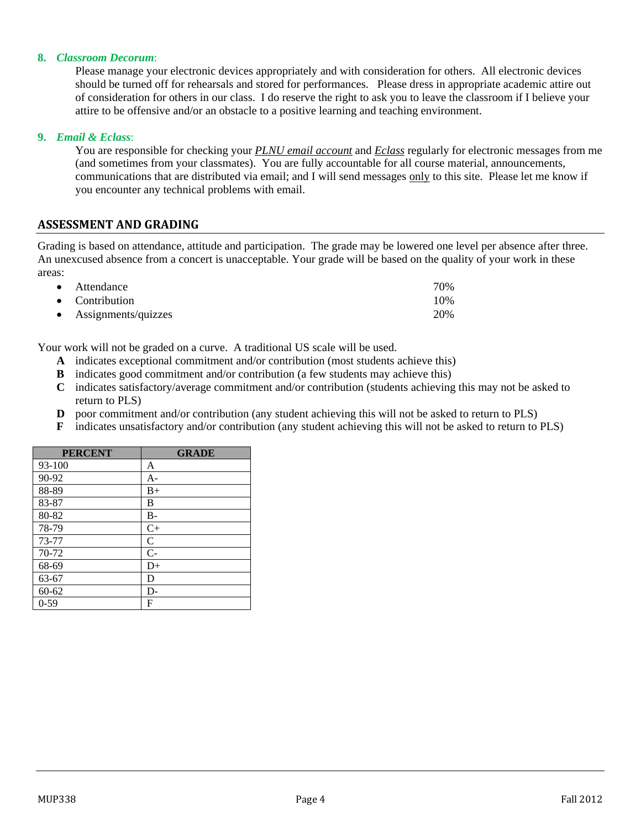#### **8.** *Classroom Decorum*:

Please manage your electronic devices appropriately and with consideration for others. All electronic devices should be turned off for rehearsals and stored for performances. Please dress in appropriate academic attire out of consideration for others in our class. I do reserve the right to ask you to leave the classroom if I believe your attire to be offensive and/or an obstacle to a positive learning and teaching environment.

#### **9.** *Email & Eclass*:

You are responsible for checking your *PLNU email account* and *Eclass* regularly for electronic messages from me (and sometimes from your classmates). You are fully accountable for all course material, announcements, communications that are distributed via email; and I will send messages only to this site. Please let me know if you encounter any technical problems with email.

#### **ASSESSMENT AND GRADING**

Grading is based on attendance, attitude and participation. The grade may be lowered one level per absence after three. An unexcused absence from a concert is unacceptable. Your grade will be based on the quality of your work in these areas:

| • Attendance                  | 70% |
|-------------------------------|-----|
| $\bullet$ Contribution        | 10% |
| $\bullet$ Assignments/quizzes | 20% |

Your work will not be graded on a curve. A traditional US scale will be used.

- **A** indicates exceptional commitment and/or contribution (most students achieve this)
- **B** indicates good commitment and/or contribution (a few students may achieve this)
- **C** indicates satisfactory/average commitment and/or contribution (students achieving this may not be asked to return to PLS)
- **D** poor commitment and/or contribution (any student achieving this will not be asked to return to PLS)
- **F** indicates unsatisfactory and/or contribution (any student achieving this will not be asked to return to PLS)

| <b>PERCENT</b> | <b>GRADE</b>  |
|----------------|---------------|
| 93-100         | A             |
| 90-92          | $A-$          |
| 88-89          | $B+$          |
| 83-87          | В             |
| 80-82          | $B-$          |
| 78-79          | $C+$          |
| 73-77          | $\mathcal{C}$ |
| 70-72          | $C-$          |
| 68-69          | $D+$          |
| 63-67          | D             |
| $60 - 62$      | D-            |
| $0-59$         | F             |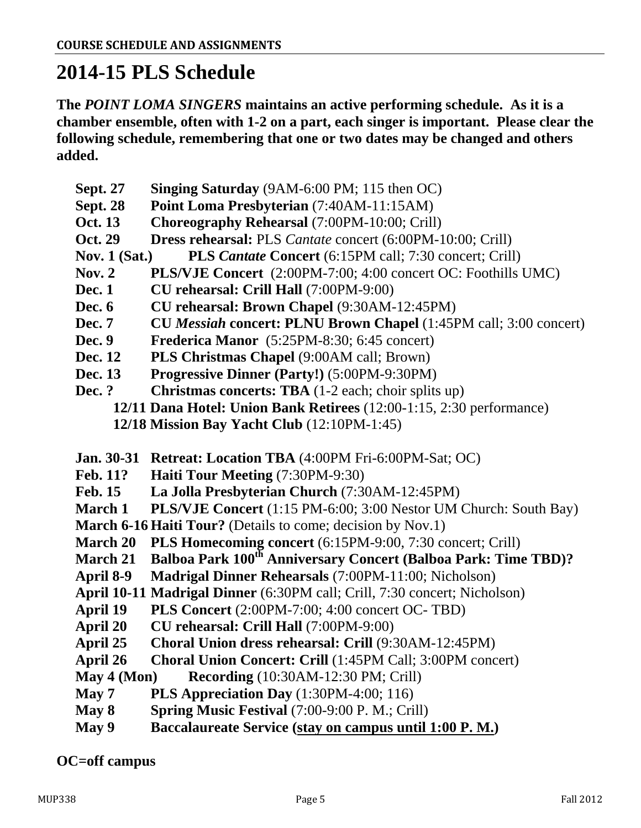## **2014-15 PLS Schedule**

**The** *POINT LOMA SINGERS* **maintains an active performing schedule. As it is a chamber ensemble, often with 1-2 on a part, each singer is important. Please clear the following schedule, remembering that one or two dates may be changed and others added.** 

- **Sept. 27 Singing Saturday** (9AM-6:00 PM; 115 then OC)
- **Sept. 28 Point Loma Presbyterian** (7:40AM-11:15AM)
- **Oct. 13 Choreography Rehearsal** (7:00PM-10:00; Crill)
- **Oct. 29 Dress rehearsal:** PLS *Cantate* concert (6:00PM-10:00; Crill)
- **Nov. 1 (Sat.) PLS** *Cantate* **Concert** (6:15PM call; 7:30 concert; Crill)
- **Nov. 2 PLS/VJE Concert** (2:00PM-7:00; 4:00 concert OC: Foothills UMC)
- **Dec. 1 CU rehearsal: Crill Hall** (7:00PM-9:00)
- **Dec. 6 CU rehearsal: Brown Chapel** (9:30AM-12:45PM)
- **Dec. 7 CU** *Messiah* **concert: PLNU Brown Chapel** (1:45PM call; 3:00 concert)
- **Dec. 9 Frederica Manor** (5:25PM-8:30; 6:45 concert)
- **Dec. 12** PLS Christmas Chapel (9:00AM call; Brown)
- **Dec. 13 Progressive Dinner (Party!)** (5:00PM-9:30PM)
- **Dec. ?** Christmas concerts: **TBA** (1-2 each; choir splits up)  **12/11 Dana Hotel: Union Bank Retirees** (12:00-1:15, 2:30 performance)  **12/18 Mission Bay Yacht Club** (12:10PM-1:45)
- **Jan. 30-31 Retreat: Location TBA** (4:00PM Fri-6:00PM-Sat; OC)
- **Feb. 11? Haiti Tour Meeting** (7:30PM-9:30)
- **Feb. 15 La Jolla Presbyterian Church** (7:30AM-12:45PM)
- **March 1 PLS/VJE Concert** (1:15 PM-6:00; 3:00 Nestor UM Church: South Bay)
- **March 6-16 Haiti Tour?** (Details to come; decision by Nov.1)
- **March 20 PLS Homecoming concert** (6:15PM-9:00, 7:30 concert; Crill)
- **March 21 Balboa Park 100th Anniversary Concert (Balboa Park: Time TBD)?**
- **April 8-9 Madrigal Dinner Rehearsals** (7:00PM-11:00; Nicholson)
- **April 10-11 Madrigal Dinner** (6:30PM call; Crill, 7:30 concert; Nicholson)
- **April 19 PLS Concert** (2:00PM-7:00; 4:00 concert OC- TBD)
- **April 20 CU rehearsal: Crill Hall** (7:00PM-9:00)
- **April 25 Choral Union dress rehearsal: Crill** (9:30AM-12:45PM)
- **April 26 Choral Union Concert: Crill** (1:45PM Call; 3:00PM concert)
- **May 4 (Mon) Recording** (10:30AM-12:30 PM; Crill)
- **May 7 PLS Appreciation Day** (1:30PM-4:00; 116)
- **May 8 Spring Music Festival** (7:00-9:00 P. M.; Crill)
- **May 9 Baccalaureate Service (stay on campus until 1:00 P. M.)**

**OC=off campus**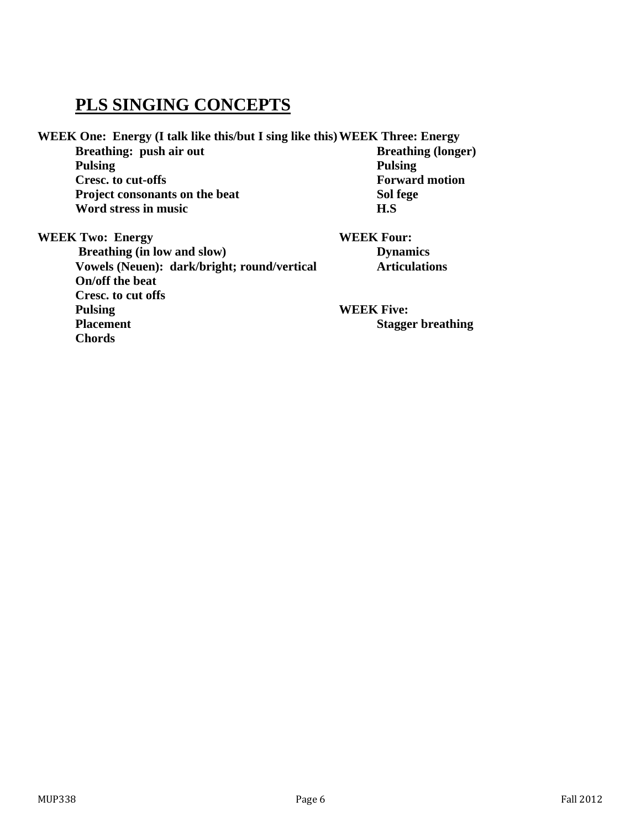### **PLS SINGING CONCEPTS**

**WEEK One: Energy (I talk like this/but I sing like this) WEEK Three: Energy Breathing: push air out Breathing (longer)** 

**Breathing: push air out Pulsing Pulsing Cresc. to cut-offs** Forward motion **Forward motion Project consonants on the beat Sol fege** Word stress in music **H.S** 

WEEK Two: Energy WEEK Four: **Breathing (in low and slow)** Dynamics **Vowels (Neuen): dark/bright; round/vertical Articulations On/off the beat Cresc. to cut offs**  Pulsing **WEEK Five: Placement** Stagger breathing

**Chords**